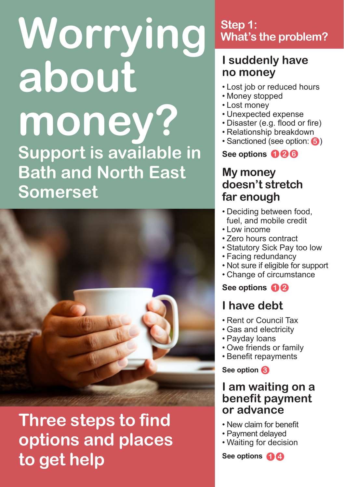# **Worrying about money? Support is available in Bath and North East Somerset**



## **Three steps to find options and places to get help**

### **Step 1: What's the problem?**

### **I suddenly have no money**

- Lost job or reduced hours
- Money stopped
- Lost money
- Unexpected expense
- Disaster (e.g. flood or fire)
- Relationship breakdown
- Sanctioned (see option: 5)

**See options 2 1 6**

### **My money doesn't stretch far enough**

- Deciding between food, fuel, and mobile credit
- Low income
- Zero hours contract
- Statutory Sick Pay too low
- Facing redundancy
- Not sure if eligible for support
- Change of circumstance

**See options 1 2**

### **I have debt**

- Rent or Council Tax
- Gas and electricity
- Payday loans
- Owe friends or family
- Benefit repayments

**See option 3**

### **I am waiting on a benefit payment or advance**

- New claim for benefit
- Payment delayed
- Waiting for decision

**See options 1 4**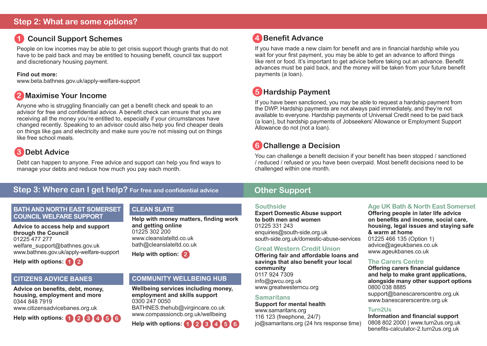### **1 Council Support Schemes**

People on low incomes may be able to get crisis support though grants that do not have to be paid back and may be entitled to housing benefit, council tax support and discretionary housing payment.

#### **Find out more:**

www.beta.bathnes.gov.uk/apply-welfare-support

### **2 Maximise Your Income**

Anyone who is struggling financially can get a benefit check and speak to an advisor for free and confidential advice. A benefit check can ensure that you are receiving all the money you're entitled to, especially if your circumstances have changed recently. Speaking to an advisor could also help you find cheaper deals on things like gas and electricity and make sure you're not missing out on things like free school meals.

### **3 Debt Advice**

Debt can happen to anyone. Free advice and support can help you find ways to manage your debts and reduce how much you pay each month.

### **Step 3: Where can I get help? For free and confidential advice**

#### **BATH AND NORTH EAST SOMERSET COUNCIL WELFARE SUPPORT**

**Advice to access help and support through the Council**  01225 477 277 welfare\_support@bathnes.gov.uk www.bathnes.gov.uk/apply-welfare-support



### **CITIZENS ADVICE BANES**

**Advice on benefits, debt, money, housing, employment and more** 0344 848 7919 www.citizensadvicebanes.org.uk



### **CLEAN SLATE**

**Help with money matters, finding work and getting online** 01225 302 200 www.cleanslateltd.co.uk bath@cleanslateltd.co.uk



### **COMMUNITY WELLBEING HUB**

**Wellbeing services including money, employment and skills support** 0300 247 0050 BATHNES.thehub@virgincare.co.uk www.compassioncb.org.uk/wellbeing

**Help with options: 1 2 3 4 5 6**

### **4 Benefit Advance**

If you have made a new claim for benefit and are in financial hardship while you wait for your first payment, you may be able to get an advance to afford things like rent or food. It's important to get advice before taking out an advance. Benefit advances must be paid back, and the money will be taken from your future benefit payments (a loan).

### **5 Hardship Payment**

If you have been sanctioned, you may be able to request a hardship payment from the DWP. Hardship payments are not always paid immediately, and they're not available to everyone. Hardship payments of Universal Credit need to be paid back (a loan), but hardship payments of Jobseekers' Allowance or Employment Support Allowance do not (not a loan).

### **6 Challenge a Decision**

You can challenge a benefit decision if your benefit has been stopped / sanctioned / reduced / refused or you have been overpaid. Most benefit decisions need to be challenged within one month.

### **Other Support**

#### **Southside**

**Expert Domestic Abuse support to both men and women**  01225 331 243 enquiries@south-side.org.uk south-side.org.uk/domestic-abuse-services

### **Great Western Credit Union**

**Offering fair and affordable loans and savings that also benefit your local community** 0117 924 7309 info@gwcu.org.uk www.greatwesterncu.org

#### **Samaritans**

**Support for mental health** www.samaritans.org 116 123 (freephone, 24/7) jo@samaritans.org (24 hrs response time)

#### **Age UK Bath & North East Somerset**

**Offering people in later life advice on benefits and income, social care, housing, legal issues and staying safe & warm at home** 01225 466 135 (Option 1) advice@ageukbanes.co.uk www.ageukbanes.co.uk

### **The Carers Centre**

**Offering carers financial guidance and help to make grant applications, alongside many other support options** 0800 038 8885 support@banescarerscentre.org.uk www.banescarerscentre.org.uk

#### **Turn2Us**

**Information and financial support**  0808 802 2000 | www.turn2us.org.uk benefits-calculator-2.turn2us.org.uk